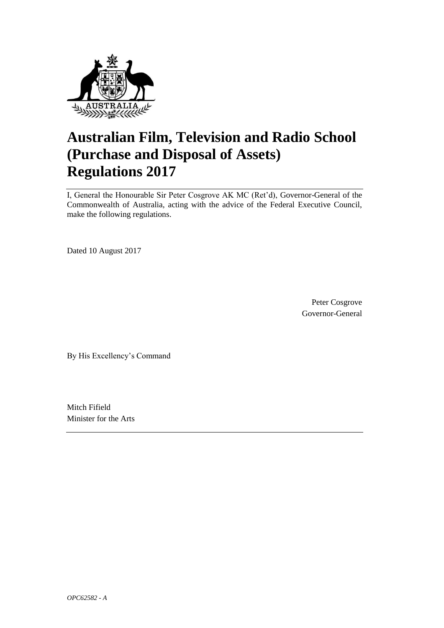

# **Australian Film, Television and Radio School (Purchase and Disposal of Assets) Regulations 2017**

I, General the Honourable Sir Peter Cosgrove AK MC (Ret'd), Governor-General of the Commonwealth of Australia, acting with the advice of the Federal Executive Council, make the following regulations.

Dated 10 August 2017

Peter Cosgrove Governor-General

By His Excellency's Command

Mitch Fifield Minister for the Arts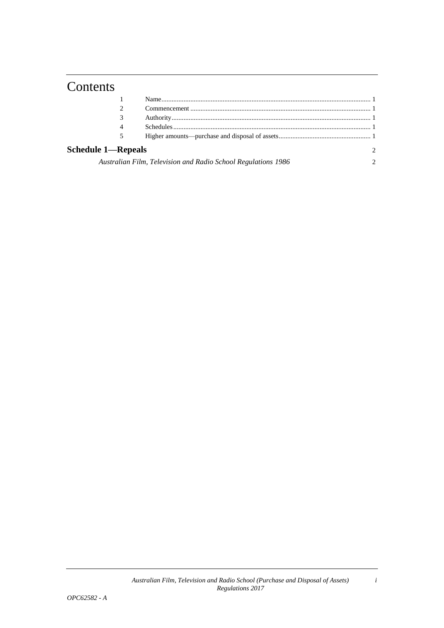## **Contents**

| 4                                                             |  |                |
|---------------------------------------------------------------|--|----------------|
| 5                                                             |  |                |
| <b>Schedule 1—Repeals</b>                                     |  | $\mathfrak{D}$ |
| Australian Film, Television and Radio School Regulations 1986 |  |                |

*i*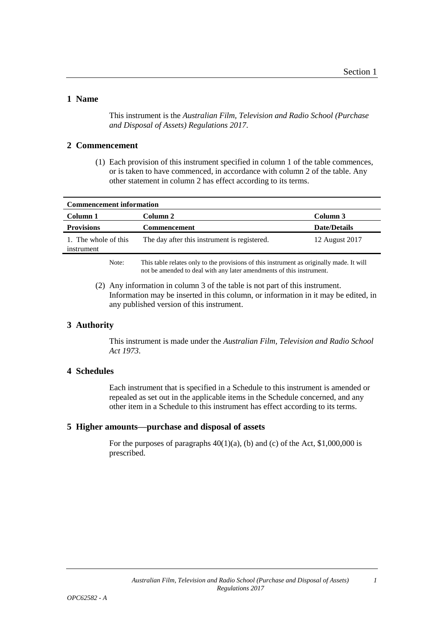*1*

#### **1 Name**

This instrument is the *Australian Film, Television and Radio School (Purchase and Disposal of Assets) Regulations 2017*.

#### **2 Commencement**

(1) Each provision of this instrument specified in column 1 of the table commences, or is taken to have commenced, in accordance with column 2 of the table. Any other statement in column 2 has effect according to its terms.

| <b>Commencement information</b>              |                     |  |  |
|----------------------------------------------|---------------------|--|--|
| Column 2                                     | Column 3            |  |  |
| Commencement                                 | <b>Date/Details</b> |  |  |
| The day after this instrument is registered. | 12 August 2017      |  |  |
|                                              |                     |  |  |

Note: This table relates only to the provisions of this instrument as originally made. It will not be amended to deal with any later amendments of this instrument.

(2) Any information in column 3 of the table is not part of this instrument. Information may be inserted in this column, or information in it may be edited, in any published version of this instrument.

#### **3 Authority**

This instrument is made under the *Australian Film, Television and Radio School Act 1973*.

#### **4 Schedules**

Each instrument that is specified in a Schedule to this instrument is amended or repealed as set out in the applicable items in the Schedule concerned, and any other item in a Schedule to this instrument has effect according to its terms.

#### **5 Higher amounts—purchase and disposal of assets**

For the purposes of paragraphs  $40(1)(a)$ , (b) and (c) of the Act, \$1,000,000 is prescribed.